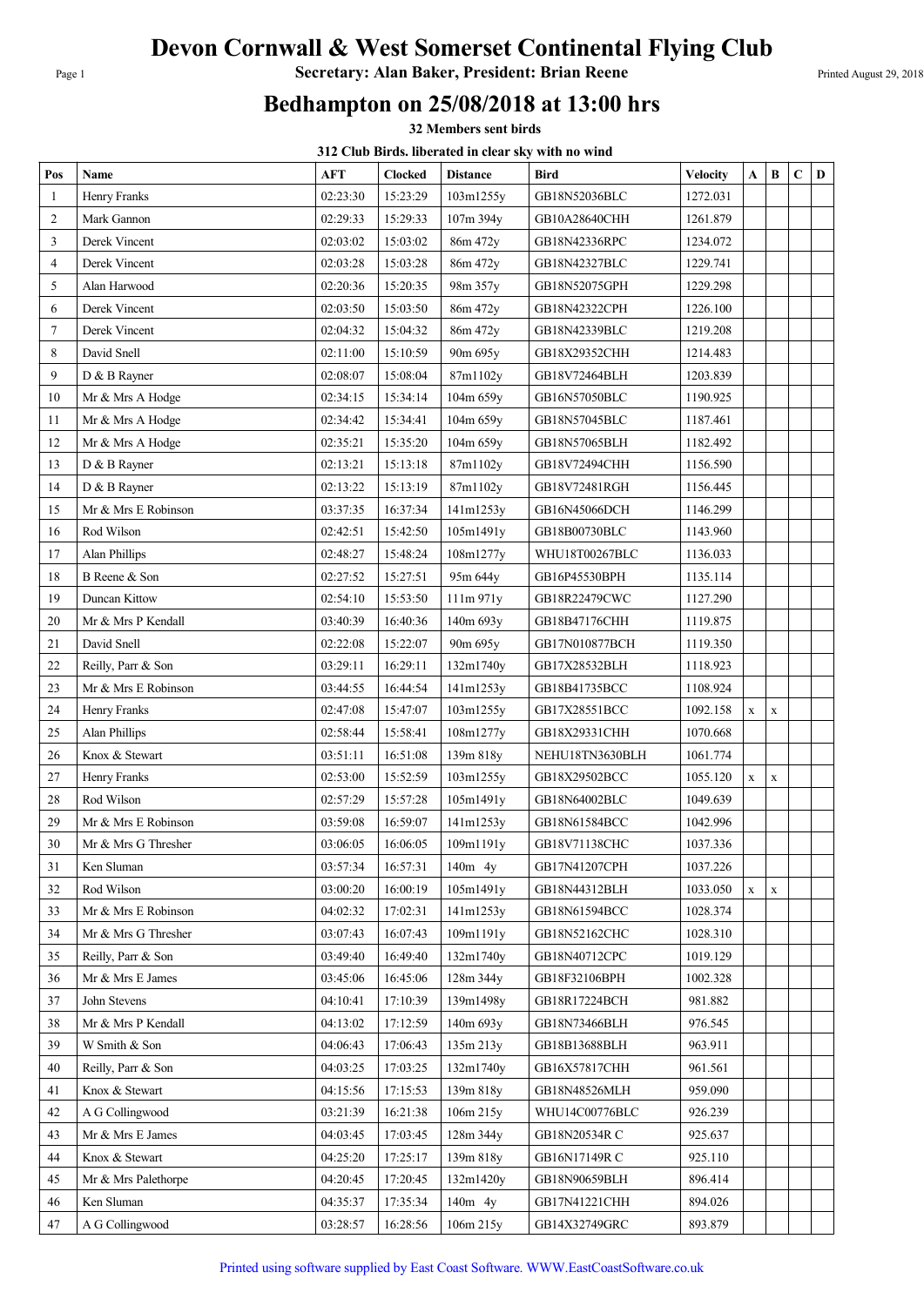## Devon Cornwall & West Somerset Continental Flying Club

Page 1 **Secretary: Alan Baker, President: Brian Reene** Printed August 29, 2018

## Bedhampton on 25/08/2018 at 13:00 hrs

32 Members sent birds

312 Club Birds. liberated in clear sky with no wind

|                 |                                        |          |                      | <b>312 Club Dirus, moerated in clear sky with ho wing</b> |                                |                      |             |             |   |   |
|-----------------|----------------------------------------|----------|----------------------|-----------------------------------------------------------|--------------------------------|----------------------|-------------|-------------|---|---|
| Pos             | Name                                   | AFT      | <b>Clocked</b>       | <b>Distance</b>                                           | <b>Bird</b>                    | <b>Velocity</b>      | A           | B           | C | D |
| 1               | Henry Franks                           | 02:23:30 | 15:23:29             | 103m1255y                                                 | GB18N52036BLC                  | 1272.031             |             |             |   |   |
| $\overline{c}$  | Mark Gannon                            | 02:29:33 | 15:29:33             | 107m 394y                                                 | GB10A28640CHH                  | 1261.879             |             |             |   |   |
| 3               | Derek Vincent                          | 02:03:02 | 15:03:02             | 86m 472y                                                  | GB18N42336RPC                  | 1234.072             |             |             |   |   |
| 4               | Derek Vincent                          | 02:03:28 | 15:03:28             | 86m 472y                                                  | GB18N42327BLC                  | 1229.741             |             |             |   |   |
| 5               | Alan Harwood                           | 02:20:36 | 15:20:35             | 98m 357y                                                  | GB18N52075GPH                  | 1229.298             |             |             |   |   |
| 6               | Derek Vincent                          | 02:03:50 | 15:03:50             | 86m 472y                                                  | GB18N42322CPH                  | 1226.100             |             |             |   |   |
| $7\phantom{.0}$ | Derek Vincent                          | 02:04:32 | 15:04:32             | 86m 472y                                                  | GB18N42339BLC                  | 1219.208             |             |             |   |   |
| 8               | David Snell                            | 02:11:00 | 15:10:59             | 90m 695y                                                  | GB18X29352CHH                  | 1214.483             |             |             |   |   |
| 9               | D & B Rayner                           | 02:08:07 | 15:08:04             | 87m1102y                                                  | GB18V72464BLH                  | 1203.839             |             |             |   |   |
| 10              | Mr & Mrs A Hodge                       | 02:34:15 | 15:34:14             | 104m 659y                                                 | GB16N57050BLC                  | 1190.925             |             |             |   |   |
| 11              | Mr & Mrs A Hodge                       | 02:34:42 | 15:34:41             | 104m 659y                                                 | GB18N57045BLC                  | 1187.461             |             |             |   |   |
| 12              | Mr & Mrs A Hodge                       | 02:35:21 | 15:35:20             | 104m 659y                                                 | GB18N57065BLH                  | 1182.492             |             |             |   |   |
| 13              | D & B Rayner                           | 02:13:21 | 15:13:18             | 87m1102y                                                  | GB18V72494CHH                  | 1156.590             |             |             |   |   |
| 14              | D & B Rayner                           | 02:13:22 | 15:13:19             | 87m1102y                                                  | GB18V72481RGH                  | 1156.445             |             |             |   |   |
| 15              | Mr & Mrs E Robinson                    | 03:37:35 | 16:37:34             | 141m1253y                                                 | GB16N45066DCH                  | 1146.299             |             |             |   |   |
| 16              | Rod Wilson                             | 02:42:51 | 15:42:50             | 105m1491y                                                 | GB18B00730BLC                  | 1143.960             |             |             |   |   |
| 17              | <b>Alan Phillips</b>                   | 02:48:27 | 15:48:24             | 108m1277y                                                 | WHU18T00267BLC                 | 1136.033             |             |             |   |   |
| 18              | B Reene & Son                          | 02:27:52 | 15:27:51             | 95m 644y                                                  | GB16P45530BPH                  | 1135.114             |             |             |   |   |
| 19              | Duncan Kittow                          | 02:54:10 | 15:53:50             | 111m 971y                                                 | GB18R22479CWC                  | 1127.290             |             |             |   |   |
| 20              | Mr & Mrs P Kendall                     | 03:40:39 | 16:40:36             | 140m 693y                                                 | GB18B47176CHH                  | 1119.875             |             |             |   |   |
| 21              | David Snell                            | 02:22:08 | 15:22:07             | 90m 695y                                                  | GB17N010877BCH                 | 1119.350             |             |             |   |   |
| 22              | Reilly, Parr & Son                     | 03:29:11 | 16:29:11             | 132m1740y                                                 | GB17X28532BLH                  | 1118.923             |             |             |   |   |
| 23              | Mr & Mrs E Robinson                    | 03:44:55 | 16:44:54             | 141m1253y                                                 | GB18B41735BCC                  | 1108.924             |             |             |   |   |
| 24              | Henry Franks                           | 02:47:08 | 15:47:07             | 103m1255y                                                 | GB17X28551BCC                  | 1092.158             |             |             |   |   |
| 25              | Alan Phillips                          | 02:58:44 | 15:58:41             |                                                           | GB18X29331CHH                  | 1070.668             | $\mathbf X$ | $\mathbf X$ |   |   |
| 26              | Knox & Stewart                         | 03:51:11 | 16:51:08             | 108m1277y<br>139m 818y                                    | NEHU18TN3630BLH                | 1061.774             |             |             |   |   |
| 27              | Henry Franks                           | 02:53:00 | 15:52:59             | 103m1255y                                                 | GB18X29502BCC                  | 1055.120             |             |             |   |   |
| 28              | Rod Wilson                             | 02:57:29 | 15:57:28             | 105m1491y                                                 | GB18N64002BLC                  | 1049.639             | $\mathbf X$ | $\mathbf X$ |   |   |
| 29              | Mr & Mrs E Robinson                    | 03:59:08 | 16:59:07             | 141m1253y                                                 | GB18N61584BCC                  | 1042.996             |             |             |   |   |
| 30              |                                        | 03:06:05 | 16:06:05             | 109m1191y                                                 | GB18V71138CHC                  | 1037.336             |             |             |   |   |
| 31              | Mr & Mrs G Thresher<br>Ken Sluman      | 03:57:34 | 16:57:31             | $140m$ 4y                                                 | GB17N41207CPH                  | 1037.226             |             |             |   |   |
| 32              | Rod Wilson                             | 03:00:20 | 16:00:19             |                                                           |                                |                      |             |             |   |   |
|                 | Mr & Mrs E Robinson                    | 04:02:32 | 17:02:31             | 105m1491y<br>141m1253y                                    | GB18N44312BLH                  | 1033.050<br>1028.374 | X           | $\mathbf X$ |   |   |
| 33<br>34        |                                        | 03:07:43 | 16:07:43             | 109m1191y                                                 | GB18N61594BCC<br>GB18N52162CHC | 1028.310             |             |             |   |   |
| 35              | Mr & Mrs G Thresher                    | 03:49:40 | 16:49:40             |                                                           |                                | 1019.129             |             |             |   |   |
|                 | Reilly, Parr & Son<br>Mr & Mrs E James | 03:45:06 |                      | 132m1740y                                                 | GB18N40712CPC                  |                      |             |             |   |   |
| 36              |                                        |          | 16:45:06             | 128m 344y                                                 | GB18F32106BPH                  | 1002.328             |             |             |   |   |
| 37              | John Stevens                           | 04:10:41 | 17:10:39<br>17:12:59 | 139m1498y                                                 | GB18R17224BCH                  | 981.882<br>976.545   |             |             |   |   |
| 38              | Mr & Mrs P Kendall                     | 04:13:02 |                      | 140m 693y                                                 | GB18N73466BLH                  |                      |             |             |   |   |
| 39              | W Smith & Son                          | 04:06:43 | 17:06:43             | 135m 213y                                                 | GB18B13688BLH                  | 963.911              |             |             |   |   |
| 40              | Reilly, Parr & Son                     | 04:03:25 | 17:03:25             | 132m1740y                                                 | GB16X57817CHH                  | 961.561              |             |             |   |   |
| 41              | Knox & Stewart                         | 04:15:56 | 17:15:53             | 139m 818y                                                 | GB18N48526MLH                  | 959.090              |             |             |   |   |
| 42              | A G Collingwood                        | 03:21:39 | 16:21:38             | 106m 215y                                                 | WHU14C00776BLC                 | 926.239              |             |             |   |   |
| 43              | Mr & Mrs E James                       | 04:03:45 | 17:03:45             | 128m 344y                                                 | GB18N20534R C                  | 925.637              |             |             |   |   |
| 44              | Knox & Stewart                         | 04:25:20 | 17:25:17             | 139m 818y                                                 | GB16N17149R C                  | 925.110              |             |             |   |   |
| 45              | Mr & Mrs Palethorpe                    | 04:20:45 | 17:20:45             | 132m1420y                                                 | GB18N90659BLH                  | 896.414              |             |             |   |   |
| 46              | Ken Sluman                             | 04:35:37 | 17:35:34             | 140m 4y                                                   | GB17N41221CHH                  | 894.026              |             |             |   |   |
| 47              | A G Collingwood                        | 03:28:57 | 16:28:56             | 106m 215y                                                 | GB14X32749GRC                  | 893.879              |             |             |   |   |